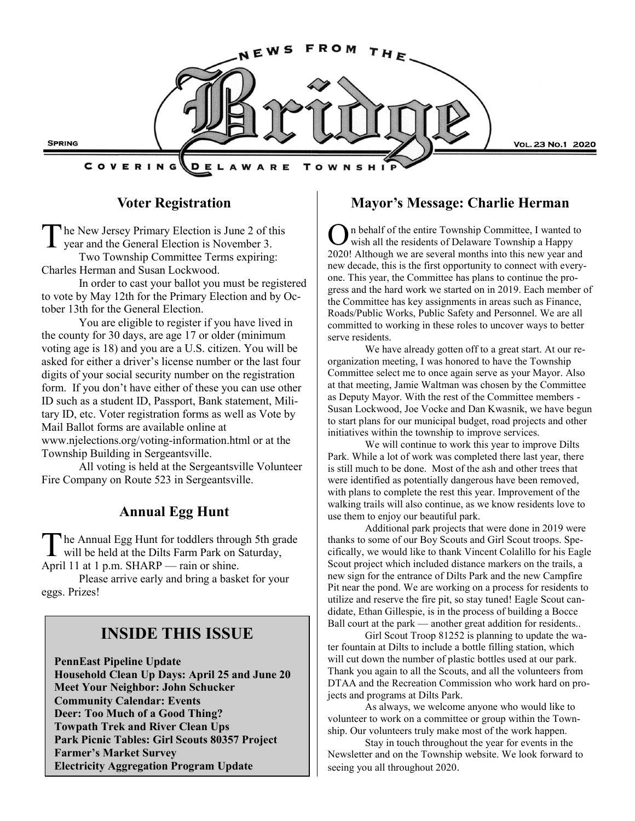

# **Voter Registration**

The New Jersey Primary Election is June 2 of the year and the General Election is November 3. he New Jersey Primary Election is June 2 of this Two Township Committee Terms expiring: Charles Herman and Susan Lockwood.

In order to cast your ballot you must be registered to vote by May 12th for the Primary Election and by October 13th for the General Election.

You are eligible to register if you have lived in the county for 30 days, are age 17 or older (minimum voting age is 18) and you are a U.S. citizen. You will be asked for either a driver's license number or the last four digits of your social security number on the registration form. If you don't have either of these you can use other ID such as a student ID, Passport, Bank statement, Military ID, etc. Voter registration forms as well as Vote by Mail Ballot forms are available online at www.njelections.org/voting-information.html or at the Township Building in Sergeantsville.

All voting is held at the Sergeantsville Volunteer Fire Company on Route 523 in Sergeantsville.

## **Annual Egg Hunt**

The Annual Egg Hunt for toddlers through 5th grawill be held at the Dilts Farm Park on Saturday, he Annual Egg Hunt for toddlers through 5th grade April 11 at 1 p.m. SHARP — rain or shine.

Please arrive early and bring a basket for your eggs. Prizes!

# **INSIDE THIS ISSUE**

**PennEast Pipeline Update Household Clean Up Days: April 25 and June 20 Meet Your Neighbor: John Schucker Community Calendar: Events Deer: Too Much of a Good Thing? Towpath Trek and River Clean Ups Park Picnic Tables: Girl Scouts 80357 Project Farmer's Market Survey Electricity Aggregation Program Update**

## **Mayor's Message: Charlie Herman**

O n behalf of the entire Township Committee, I wanted to wish all the residents of Delaware Township a Happy 2020! Although we are several months into this new year and new decade, this is the first opportunity to connect with everyone. This year, the Committee has plans to continue the progress and the hard work we started on in 2019. Each member of the Committee has key assignments in areas such as Finance, Roads/Public Works, Public Safety and Personnel. We are all committed to working in these roles to uncover ways to better serve residents.

We have already gotten off to a great start. At our reorganization meeting, I was honored to have the Township Committee select me to once again serve as your Mayor. Also at that meeting, Jamie Waltman was chosen by the Committee as Deputy Mayor. With the rest of the Committee members - Susan Lockwood, Joe Vocke and Dan Kwasnik, we have begun to start plans for our municipal budget, road projects and other initiatives within the township to improve services.

We will continue to work this year to improve Dilts Park. While a lot of work was completed there last year, there is still much to be done. Most of the ash and other trees that were identified as potentially dangerous have been removed, with plans to complete the rest this year. Improvement of the walking trails will also continue, as we know residents love to use them to enjoy our beautiful park.

Additional park projects that were done in 2019 were thanks to some of our Boy Scouts and Girl Scout troops. Specifically, we would like to thank Vincent Colalillo for his Eagle Scout project which included distance markers on the trails, a new sign for the entrance of Dilts Park and the new Campfire Pit near the pond. We are working on a process for residents to utilize and reserve the fire pit, so stay tuned! Eagle Scout candidate, Ethan Gillespie, is in the process of building a Bocce Ball court at the park — another great addition for residents..

Girl Scout Troop 81252 is planning to update the water fountain at Dilts to include a bottle filling station, which will cut down the number of plastic bottles used at our park. Thank you again to all the Scouts, and all the volunteers from DTAA and the Recreation Commission who work hard on projects and programs at Dilts Park.

As always, we welcome anyone who would like to volunteer to work on a committee or group within the Township. Our volunteers truly make most of the work happen.

Stay in touch throughout the year for events in the Newsletter and on the Township website. We look forward to seeing you all throughout 2020.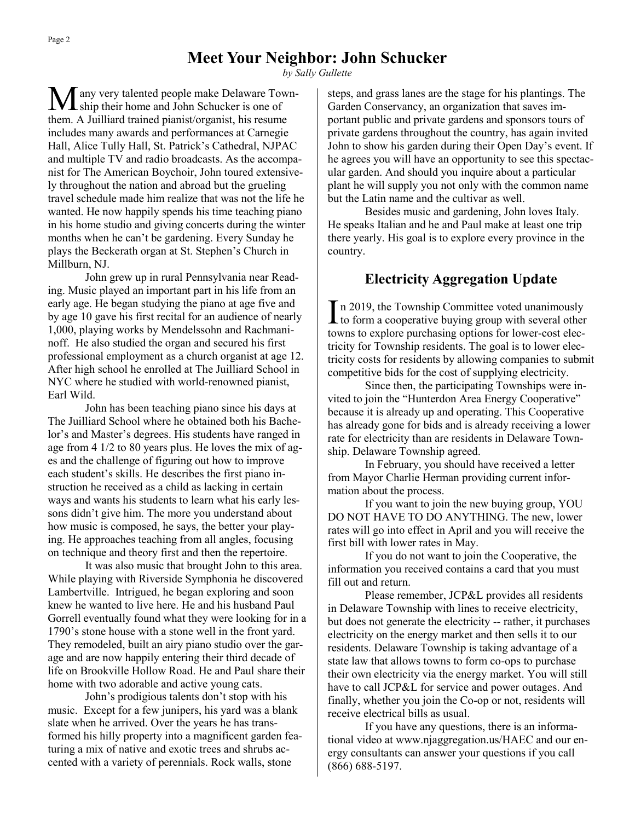## **Meet Your Neighbor: John Schucker**

*by Sally Gullette*

any very talented people make Delaware Town-**I** ship their home and John Schucker is one of them. A Juilliard trained pianist/organist, his resume includes many awards and performances at Carnegie Hall, Alice Tully Hall, St. Patrick's Cathedral, NJPAC and multiple TV and radio broadcasts. As the accompanist for The American Boychoir, John toured extensively throughout the nation and abroad but the grueling travel schedule made him realize that was not the life he wanted. He now happily spends his time teaching piano in his home studio and giving concerts during the winter months when he can't be gardening. Every Sunday he plays the Beckerath organ at St. Stephen's Church in Millburn, NJ.

John grew up in rural Pennsylvania near Reading. Music played an important part in his life from an early age. He began studying the piano at age five and by age 10 gave his first recital for an audience of nearly 1,000, playing works by Mendelssohn and Rachmaninoff. He also studied the organ and secured his first professional employment as a church organist at age 12. After high school he enrolled at The Juilliard School in NYC where he studied with world-renowned pianist, Earl Wild.

John has been teaching piano since his days at The Juilliard School where he obtained both his Bachelor's and Master's degrees. His students have ranged in age from 4 1/2 to 80 years plus. He loves the mix of ages and the challenge of figuring out how to improve each student's skills. He describes the first piano instruction he received as a child as lacking in certain ways and wants his students to learn what his early lessons didn't give him. The more you understand about how music is composed, he says, the better your playing. He approaches teaching from all angles, focusing on technique and theory first and then the repertoire.

It was also music that brought John to this area. While playing with Riverside Symphonia he discovered Lambertville. Intrigued, he began exploring and soon knew he wanted to live here. He and his husband Paul Gorrell eventually found what they were looking for in a 1790's stone house with a stone well in the front yard. They remodeled, built an airy piano studio over the garage and are now happily entering their third decade of life on Brookville Hollow Road. He and Paul share their home with two adorable and active young cats.

John's prodigious talents don't stop with his music. Except for a few junipers, his yard was a blank slate when he arrived. Over the years he has transformed his hilly property into a magnificent garden featuring a mix of native and exotic trees and shrubs accented with a variety of perennials. Rock walls, stone

steps, and grass lanes are the stage for his plantings. The Garden Conservancy, an organization that saves important public and private gardens and sponsors tours of private gardens throughout the country, has again invited John to show his garden during their Open Day's event. If he agrees you will have an opportunity to see this spectacular garden. And should you inquire about a particular plant he will supply you not only with the common name but the Latin name and the cultivar as well.

Besides music and gardening, John loves Italy. He speaks Italian and he and Paul make at least one trip there yearly. His goal is to explore every province in the country.

## **Electricity Aggregation Update**

In 2019, the Township Committee voted unanimously<br>to form a cooperative buying group with several other n 2019, the Township Committee voted unanimously towns to explore purchasing options for lower-cost electricity for Township residents. The goal is to lower electricity costs for residents by allowing companies to submit competitive bids for the cost of supplying electricity.

Since then, the participating Townships were invited to join the "Hunterdon Area Energy Cooperative" because it is already up and operating. This Cooperative has already gone for bids and is already receiving a lower rate for electricity than are residents in Delaware Township. Delaware Township agreed.

In February, you should have received a letter from Mayor Charlie Herman providing current information about the process.

If you want to join the new buying group, YOU DO NOT HAVE TO DO ANYTHING. The new, lower rates will go into effect in April and you will receive the first bill with lower rates in May.

If you do not want to join the Cooperative, the information you received contains a card that you must fill out and return.

Please remember, JCP&L provides all residents in Delaware Township with lines to receive electricity, but does not generate the electricity -- rather, it purchases electricity on the energy market and then sells it to our residents. Delaware Township is taking advantage of a state law that allows towns to form co-ops to purchase their own electricity via the energy market. You will still have to call JCP&L for service and power outages. And finally, whether you join the Co-op or not, residents will receive electrical bills as usual.

If you have any questions, there is an informational video at www.njaggregation.us/HAEC and our energy consultants can answer your questions if you call (866) 688-5197.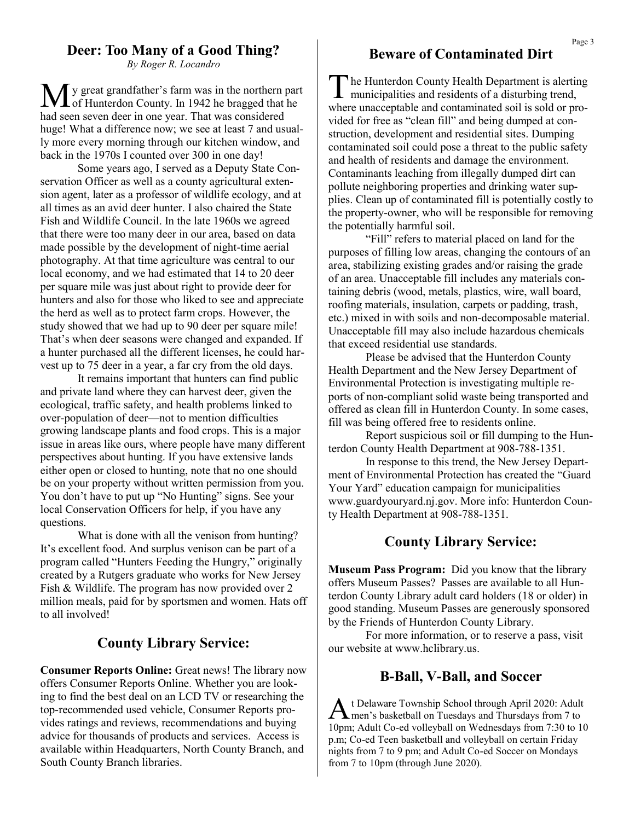## **Deer: Too Many of a Good Thing?**

*By Roger R. Locandro*

My great grandfather's farm was in the northern part of Hunterdon County. In 1942 he bragged that he had seen seven deer in one year. That was considered huge! What a difference now; we see at least 7 and usually more every morning through our kitchen window, and back in the 1970s I counted over 300 in one day!

Some years ago, I served as a Deputy State Conservation Officer as well as a county agricultural extension agent, later as a professor of wildlife ecology, and at all times as an avid deer hunter. I also chaired the State Fish and Wildlife Council. In the late 1960s we agreed that there were too many deer in our area, based on data made possible by the development of night-time aerial photography. At that time agriculture was central to our local economy, and we had estimated that 14 to 20 deer per square mile was just about right to provide deer for hunters and also for those who liked to see and appreciate the herd as well as to protect farm crops. However, the study showed that we had up to 90 deer per square mile! That's when deer seasons were changed and expanded. If a hunter purchased all the different licenses, he could harvest up to 75 deer in a year, a far cry from the old days.

It remains important that hunters can find public and private land where they can harvest deer, given the ecological, traffic safety, and health problems linked to over-population of deer—not to mention difficulties growing landscape plants and food crops. This is a major issue in areas like ours, where people have many different perspectives about hunting. If you have extensive lands either open or closed to hunting, note that no one should be on your property without written permission from you. You don't have to put up "No Hunting" signs. See your local Conservation Officers for help, if you have any questions.

What is done with all the venison from hunting? It's excellent food. And surplus venison can be part of a program called "Hunters Feeding the Hungry," originally created by a Rutgers graduate who works for New Jersey Fish & Wildlife. The program has now provided over 2 million meals, paid for by sportsmen and women. Hats off to all involved!

## **County Library Service:**

**Consumer Reports Online:** Great news! The library now offers Consumer Reports Online. Whether you are looking to find the best deal on an LCD TV or researching the top-recommended used vehicle, Consumer Reports provides ratings and reviews, recommendations and buying advice for thousands of products and services. Access is available within Headquarters, North County Branch, and South County Branch libraries.

## **Beware of Contaminated Dirt**

The Hunterdon County Health Department is alerting<br>municipalities and residents of a disturbing trend, municipalities and residents of a disturbing trend, where unacceptable and contaminated soil is sold or provided for free as "clean fill" and being dumped at construction, development and residential sites. Dumping contaminated soil could pose a threat to the public safety and health of residents and damage the environment. Contaminants leaching from illegally dumped dirt can pollute neighboring properties and drinking water supplies. Clean up of contaminated fill is potentially costly to the property-owner, who will be responsible for removing the potentially harmful soil.

"Fill" refers to material placed on land for the purposes of filling low areas, changing the contours of an area, stabilizing existing grades and/or raising the grade of an area. Unacceptable fill includes any materials containing debris (wood, metals, plastics, wire, wall board, roofing materials, insulation, carpets or padding, trash, etc.) mixed in with soils and non-decomposable material. Unacceptable fill may also include hazardous chemicals that exceed residential use standards.

Please be advised that the Hunterdon County Health Department and the New Jersey Department of Environmental Protection is investigating multiple reports of non-compliant solid waste being transported and offered as clean fill in Hunterdon County. In some cases, fill was being offered free to residents online.

Report suspicious soil or fill dumping to the Hunterdon County Health Department at 908-788-1351.

In response to this trend, the New Jersey Department of Environmental Protection has created the "Guard Your Yard" education campaign for municipalities www.guardyouryard.nj.gov. More info: Hunterdon County Health Department at 908-788-1351.

## **County Library Service:**

**Museum Pass Program:** Did you know that the library offers Museum Passes? Passes are available to all Hunterdon County Library adult card holders (18 or older) in good standing. Museum Passes are generously sponsored by the Friends of Hunterdon County Library.

For more information, or to reserve a pass, visit our website at www.hclibrary.us.

#### **B-Ball, V-Ball, and Soccer**

A t Delaware Township School through April 2020: Adult<br>men's basketball on Tuesdays and Thursdays from 7 to t Delaware Township School through April 2020: Adult 10pm; Adult Co-ed volleyball on Wednesdays from 7:30 to 10 p.m; Co-ed Teen basketball and volleyball on certain Friday nights from 7 to 9 pm; and Adult Co-ed Soccer on Mondays from 7 to 10pm (through June 2020).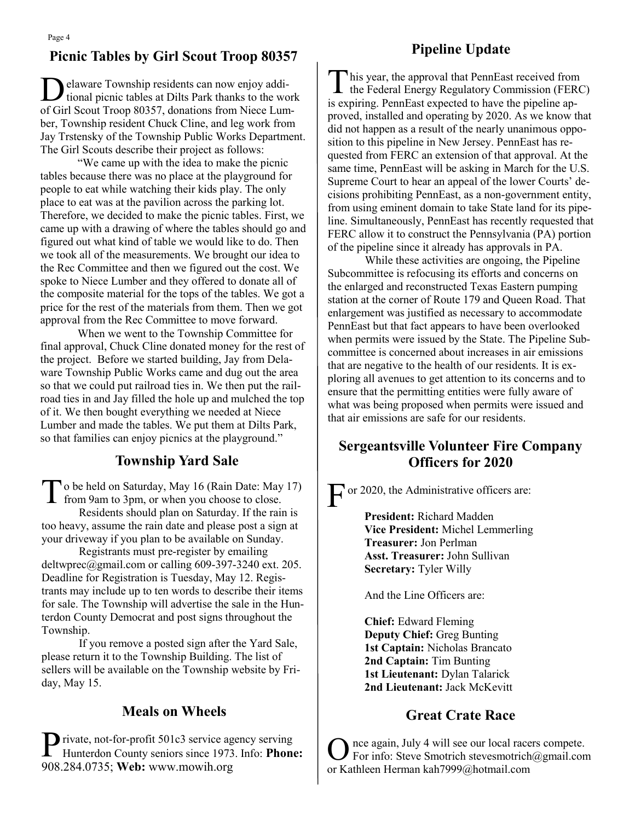### **Pipeline Update**

## **Picnic Tables by Girl Scout Troop 80357**

 $\overline{D}$ elaware Township residents can now enjoy additional picnic tables at Dilts Park thanks to the work of Girl Scout Troop 80357, donations from Niece Lumber, Township resident Chuck Cline, and leg work from Jay Trstensky of the Township Public Works Department. The Girl Scouts describe their project as follows:

"We came up with the idea to make the picnic tables because there was no place at the playground for people to eat while watching their kids play. The only place to eat was at the pavilion across the parking lot. Therefore, we decided to make the picnic tables. First, we came up with a drawing of where the tables should go and figured out what kind of table we would like to do. Then we took all of the measurements. We brought our idea to the Rec Committee and then we figured out the cost. We spoke to Niece Lumber and they offered to donate all of the composite material for the tops of the tables. We got a price for the rest of the materials from them. Then we got approval from the Rec Committee to move forward.

When we went to the Township Committee for final approval, Chuck Cline donated money for the rest of the project. Before we started building, Jay from Delaware Township Public Works came and dug out the area so that we could put railroad ties in. We then put the railroad ties in and Jay filled the hole up and mulched the top of it. We then bought everything we needed at Niece Lumber and made the tables. We put them at Dilts Park, so that families can enjoy picnics at the playground."

## **Township Yard Sale**

To be held on Saturday, May 16 (Rain Date: May from 9am to 3pm, or when you choose to close. o be held on Saturday, May 16 (Rain Date: May 17) Residents should plan on Saturday. If the rain is too heavy, assume the rain date and please post a sign at your driveway if you plan to be available on Sunday.

Registrants must pre-register by emailing deltwprec@gmail.com or calling 609-397-3240 ext. 205. Deadline for Registration is Tuesday, May 12. Registrants may include up to ten words to describe their items for sale. The Township will advertise the sale in the Hunterdon County Democrat and post signs throughout the Township.

If you remove a posted sign after the Yard Sale, please return it to the Township Building. The list of sellers will be available on the Township website by Friday, May 15.

## **Meals on Wheels**

Private, not-for-profit 501c3 service agency serving<br>Hunterdon County seniors since 1973. Info: Phone Hunterdon County seniors since 1973. Info: **Phone:**  908.284.0735; **Web:** www.mowih.org

This year, the approval that PennEast received from<br>the Federal Energy Regulatory Commission (FERC) his year, the approval that PennEast received from is expiring. PennEast expected to have the pipeline approved, installed and operating by 2020. As we know that did not happen as a result of the nearly unanimous opposition to this pipeline in New Jersey. PennEast has requested from FERC an extension of that approval. At the same time, PennEast will be asking in March for the U.S. Supreme Court to hear an appeal of the lower Courts' decisions prohibiting PennEast, as a non-government entity, from using eminent domain to take State land for its pipeline. Simultaneously, PennEast has recently requested that FERC allow it to construct the Pennsylvania (PA) portion of the pipeline since it already has approvals in PA.

While these activities are ongoing, the Pipeline Subcommittee is refocusing its efforts and concerns on the enlarged and reconstructed Texas Eastern pumping station at the corner of Route 179 and Queen Road. That enlargement was justified as necessary to accommodate PennEast but that fact appears to have been overlooked when permits were issued by the State. The Pipeline Subcommittee is concerned about increases in air emissions that are negative to the health of our residents. It is exploring all avenues to get attention to its concerns and to ensure that the permitting entities were fully aware of what was being proposed when permits were issued and that air emissions are safe for our residents.

## **Sergeantsville Volunteer Fire Company Officers for 2020**

F or 2020, the Administrative officers are:

**President:** Richard Madden **Vice President:** Michel Lemmerling **Treasurer:** Jon Perlman **Asst. Treasurer:** John Sullivan **Secretary:** Tyler Willy

And the Line Officers are:

**Chief:** Edward Fleming **Deputy Chief:** Greg Bunting **1st Captain:** Nicholas Brancato **2nd Captain:** Tim Bunting **1st Lieutenant:** Dylan Talarick **2nd Lieutenant:** Jack McKevitt

## **Great Crate Race**

O nce again, July 4 will see our local racers compete. For info: Steve Smotrich stevesmotrich@gmail.com or Kathleen Herman kah7999@hotmail.com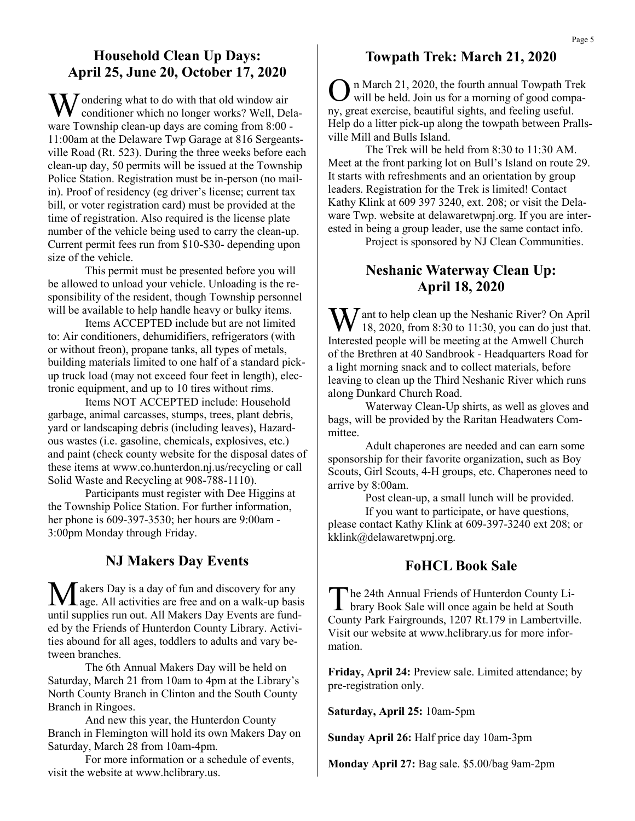## **Household Clean Up Days: April 25, June 20, October 17, 2020**

Wondering what to do with that old window air conditioner which no longer works? Well, Delaware Township clean-up days are coming from 8:00 - 11:00am at the Delaware Twp Garage at 816 Sergeantsville Road (Rt. 523). During the three weeks before each clean-up day, 50 permits will be issued at the Township Police Station. Registration must be in-person (no mailin). Proof of residency (eg driver's license; current tax bill, or voter registration card) must be provided at the time of registration. Also required is the license plate number of the vehicle being used to carry the clean-up. Current permit fees run from \$10-\$30- depending upon size of the vehicle.

This permit must be presented before you will be allowed to unload your vehicle. Unloading is the responsibility of the resident, though Township personnel will be available to help handle heavy or bulky items.

Items ACCEPTED include but are not limited to: Air conditioners, dehumidifiers, refrigerators (with or without freon), propane tanks, all types of metals, building materials limited to one half of a standard pickup truck load (may not exceed four feet in length), electronic equipment, and up to 10 tires without rims.

Items NOT ACCEPTED include: Household garbage, animal carcasses, stumps, trees, plant debris, yard or landscaping debris (including leaves), Hazardous wastes (i.e. gasoline, chemicals, explosives, etc.) and paint (check county website for the disposal dates of these items at www.co.hunterdon.nj.us/recycling or call Solid Waste and Recycling at 908-788-1110).

Participants must register with Dee Higgins at the Township Police Station. For further information, her phone is 609-397-3530; her hours are 9:00am - 3:00pm Monday through Friday.

## **NJ Makers Day Events**

 $\sqrt{\ }$  akers Day is a day of fun and discovery for any  $\mathbf{\Sigma}$  age. All activities are free and on a walk-up basis until supplies run out. All Makers Day Events are funded by the Friends of Hunterdon County Library. Activities abound for all ages, toddlers to adults and vary between branches.

The 6th Annual Makers Day will be held on Saturday, March 21 from 10am to 4pm at the Library's North County Branch in Clinton and the South County Branch in Ringoes.

And new this year, the Hunterdon County Branch in Flemington will hold its own Makers Day on Saturday, March 28 from 10am-4pm.

For more information or a schedule of events, visit the website at www.hclibrary.us.

## **Towpath Trek: March 21, 2020**

O n March 21, 2020, the fourth annual Towpath Trek will be held. Join us for a morning of good company, great exercise, beautiful sights, and feeling useful. Help do a litter pick-up along the towpath between Prallsville Mill and Bulls Island.

The Trek will be held from 8:30 to 11:30 AM. Meet at the front parking lot on Bull's Island on route 29. It starts with refreshments and an orientation by group leaders. Registration for the Trek is limited! Contact Kathy Klink at 609 397 3240, ext. 208; or visit the Delaware Twp. website at delawaretwpnj.org. If you are interested in being a group leader, use the same contact info.

Project is sponsored by NJ Clean Communities.

## **Neshanic Waterway Clean Up: April 18, 2020**

 $\sum J$  ant to help clean up the Neshanic River? On April 18, 2020, from 8:30 to 11:30, you can do just that. Interested people will be meeting at the Amwell Church of the Brethren at 40 Sandbrook - Headquarters Road for a light morning snack and to collect materials, before leaving to clean up the Third Neshanic River which runs along Dunkard Church Road.

Waterway Clean-Up shirts, as well as gloves and bags, will be provided by the Raritan Headwaters Committee.

Adult chaperones are needed and can earn some sponsorship for their favorite organization, such as Boy Scouts, Girl Scouts, 4-H groups, etc. Chaperones need to arrive by 8:00am.

Post clean-up, a small lunch will be provided.

If you want to participate, or have questions, please contact Kathy Klink at 609-397-3240 ext 208; or kklink@delawaretwpnj.org.

#### **FoHCL Book Sale**

The 24th Annual Friends of Hunterdon County Library Book Sale will once again be held at South he 24th Annual Friends of Hunterdon County Li-County Park Fairgrounds, 1207 Rt.179 in Lambertville. Visit our website at www.hclibrary.us for more information.

**Friday, April 24:** Preview sale. Limited attendance; by pre-registration only.

**Saturday, April 25:** 10am-5pm

**Sunday April 26:** Half price day 10am-3pm

**Monday April 27:** Bag sale. \$5.00/bag 9am-2pm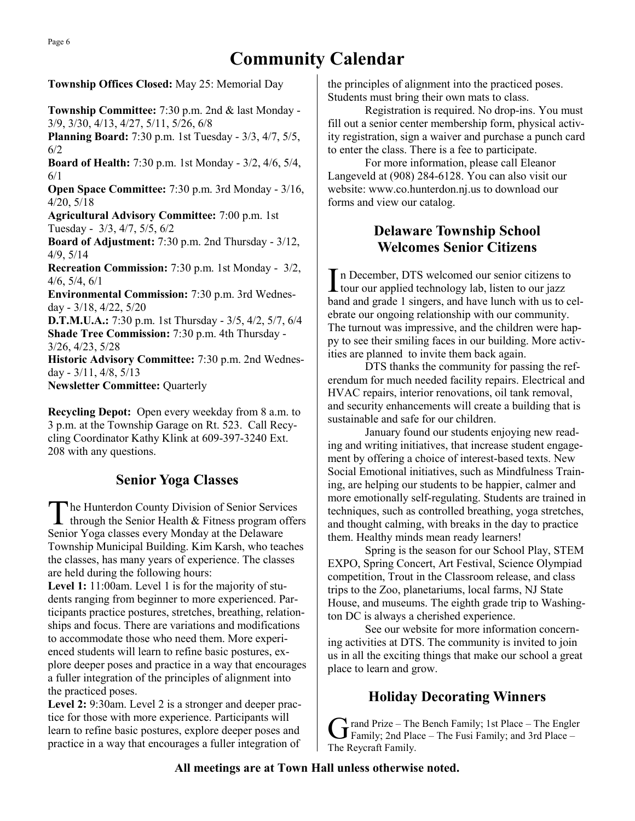**Township Offices Closed:** May 25: Memorial Day

**Township Committee:** 7:30 p.m. 2nd & last Monday - 3/9, 3/30, 4/13, 4/27, 5/11, 5/26, 6/8

**Planning Board:** 7:30 p.m. 1st Tuesday - 3/3, 4/7, 5/5, 6/2

**Board of Health:** 7:30 p.m. 1st Monday - 3/2, 4/6, 5/4, 6/1

**Open Space Committee:** 7:30 p.m. 3rd Monday - 3/16, 4/20, 5/18

**Agricultural Advisory Committee:** 7:00 p.m. 1st Tuesday - 3/3, 4/7, 5/5, 6/2

**Board of Adjustment:** 7:30 p.m. 2nd Thursday - 3/12, 4/9, 5/14

**Recreation Commission:** 7:30 p.m. 1st Monday - 3/2, 4/6, 5/4, 6/1

**Environmental Commission:** 7:30 p.m. 3rd Wednesday - 3/18, 4/22, 5/20

**D.T.M.U.A.:** 7:30 p.m. 1st Thursday - 3/5, 4/2, 5/7, 6/4 **Shade Tree Commission:** 7:30 p.m. 4th Thursday -

3/26, 4/23, 5/28

**Historic Advisory Committee:** 7:30 p.m. 2nd Wednesday - 3/11, 4/8, 5/13

**Newsletter Committee:** Quarterly

**Recycling Depot:** Open every weekday from 8 a.m. to 3 p.m. at the Township Garage on Rt. 523. Call Recycling Coordinator Kathy Klink at 609-397-3240 Ext. 208 with any questions.

# **Senior Yoga Classes**

T he Hunterdon County Division of Senior Services through the Senior Health & Fitness program offers Senior Yoga classes every Monday at the Delaware Township Municipal Building. Kim Karsh, who teaches the classes, has many years of experience. The classes are held during the following hours:

Level 1: 11:00am. Level 1 is for the majority of students ranging from beginner to more experienced. Participants practice postures, stretches, breathing, relationships and focus. There are variations and modifications to accommodate those who need them. More experienced students will learn to refine basic postures, explore deeper poses and practice in a way that encourages a fuller integration of the principles of alignment into the practiced poses.

Level 2: 9:30am. Level 2 is a stronger and deeper practice for those with more experience. Participants will learn to refine basic postures, explore deeper poses and practice in a way that encourages a fuller integration of the principles of alignment into the practiced poses. Students must bring their own mats to class.

Registration is required. No drop-ins. You must fill out a senior center membership form, physical activity registration, sign a waiver and purchase a punch card to enter the class. There is a fee to participate.

For more information, please call Eleanor Langeveld at (908) 284-6128. You can also visit our website: www.co.hunterdon.nj.us to download our forms and view our catalog.

## **Delaware Township School Welcomes Senior Citizens**

In December, DTS welcomed our senior citizens to tour our applied technology lab, listen to our jazz n December, DTS welcomed our senior citizens to band and grade 1 singers, and have lunch with us to celebrate our ongoing relationship with our community. The turnout was impressive, and the children were happy to see their smiling faces in our building. More activities are planned to invite them back again.

DTS thanks the community for passing the referendum for much needed facility repairs. Electrical and HVAC repairs, interior renovations, oil tank removal, and security enhancements will create a building that is sustainable and safe for our children.

January found our students enjoying new reading and writing initiatives, that increase student engagement by offering a choice of interest-based texts. New Social Emotional initiatives, such as Mindfulness Training, are helping our students to be happier, calmer and more emotionally self-regulating. Students are trained in techniques, such as controlled breathing, yoga stretches, and thought calming, with breaks in the day to practice them. Healthy minds mean ready learners!

Spring is the season for our School Play, STEM EXPO, Spring Concert, Art Festival, Science Olympiad competition, Trout in the Classroom release, and class trips to the Zoo, planetariums, local farms, NJ State House, and museums. The eighth grade trip to Washington DC is always a cherished experience.

See our website for more information concerning activities at DTS. The community is invited to join us in all the exciting things that make our school a great place to learn and grow.

# **Holiday Decorating Winners**

Grand Prize – The Bench Family; 1st Place – The Engle<br>Family; 2nd Place – The Fusi Family; and 3rd Place –  $\frac{1}{2}$  rand Prize – The Bench Family; 1st Place – The Engler The Reycraft Family.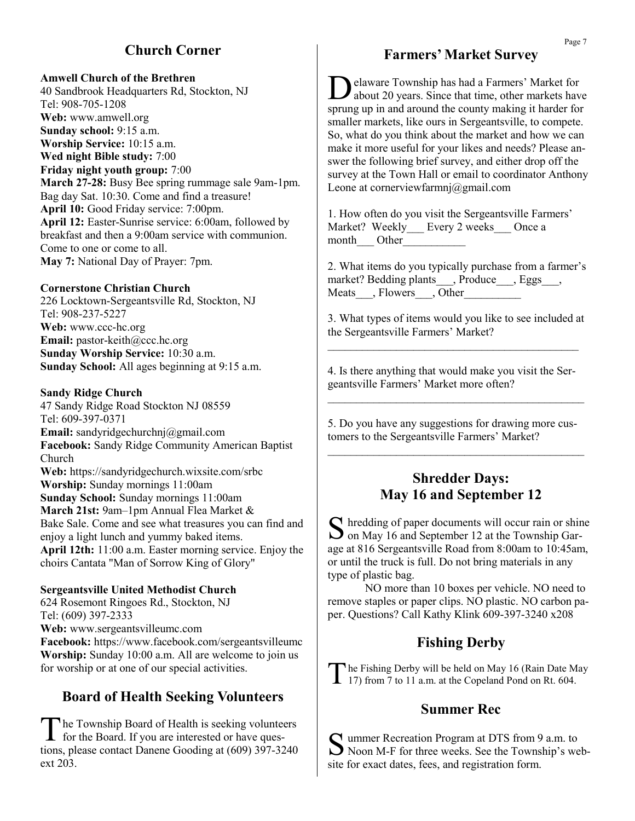## **Church Corner**

#### **Amwell Church of the Brethren**

40 Sandbrook Headquarters Rd, Stockton, NJ Tel: 908-705-1208 **Web:** www.amwell.org **Sunday school:** 9:15 a.m. **Worship Service:** 10:15 a.m. **Wed night Bible study:** 7:00 **Friday night youth group:** 7:00 **March 27-28:** Busy Bee spring rummage sale 9am-1pm. Bag day Sat. 10:30. Come and find a treasure! **April 10:** Good Friday service: 7:00pm. **April 12:** Easter-Sunrise service: 6:00am, followed by breakfast and then a 9:00am service with communion. Come to one or come to all. **May 7:** National Day of Prayer: 7pm.

#### **Cornerstone Christian Church**

226 Locktown-Sergeantsville Rd, Stockton, NJ Tel: 908-237-5227 **Web:** www.ccc-hc.org **Email:** pastor-keith@ccc.hc.org **Sunday Worship Service:** 10:30 a.m. **Sunday School:** All ages beginning at 9:15 a.m.

#### **Sandy Ridge Church**

47 Sandy Ridge Road Stockton NJ 08559 Tel: 609-397-0371 **Email:** sandyridgechurchnj@gmail.com **Facebook:** Sandy Ridge Community American Baptist Church **Web:** https://sandyridgechurch.wixsite.com/srbc **Worship:** Sunday mornings 11:00am **Sunday School:** Sunday mornings 11:00am **March 21st:** 9am–1pm Annual Flea Market & Bake Sale. Come and see what treasures you can find and enjoy a light lunch and yummy baked items. **April 12th:** 11:00 a.m. Easter morning service. Enjoy the choirs Cantata "Man of Sorrow King of Glory"

#### **Sergeantsville United Methodist Church**

624 Rosemont Ringoes Rd., Stockton, NJ Tel: (609) 397-2333 **Web:** www.sergeantsvilleumc.com **Facebook:** https://www.facebook.com/sergeantsvilleumc **Worship:** Sunday 10:00 a.m. All are welcome to join us for worship or at one of our special activities.

## **Board of Health Seeking Volunteers**

The Township Board of Health is seeking volunted<br>for the Board. If you are interested or have queshe Township Board of Health is seeking volunteers tions, please contact Danene Gooding at (609) 397-3240 ext 203.

### **Farmers' Market Survey**

Delaware Township has had a Farmers' Market for about 20 years. Since that time, other markets have about 20 years. Since that time, other markets have sprung up in and around the county making it harder for smaller markets, like ours in Sergeantsville, to compete. So, what do you think about the market and how we can make it more useful for your likes and needs? Please answer the following brief survey, and either drop off the survey at the Town Hall or email to coordinator Anthony Leone at cornerviewfarmnj@gmail.com

1. How often do you visit the Sergeantsville Farmers' Market? Weekly\_\_\_ Every 2 weeks\_\_\_ Once a month Other

2. What items do you typically purchase from a farmer's market? Bedding plants\_\_\_, Produce\_\_\_, Eggs\_\_\_, Meats , Flowers , Other

3. What types of items would you like to see included at the Sergeantsville Farmers' Market?

4. Is there anything that would make you visit the Sergeantsville Farmers' Market more often?  $\mathcal{L}_\text{max}$  and the contract of the contract of the contract of the contract of the contract of the contract of the contract of the contract of the contract of the contract of the contract of the contract of the contrac

 $\mathcal{L}_\text{max}$  and the contract of the contract of the contract of the contract of the contract of the contract of the contract of the contract of the contract of the contract of the contract of the contract of the contrac

5. Do you have any suggestions for drawing more customers to the Sergeantsville Farmers' Market?  $\mathcal{L}_\text{max}$  and the contract of the contract of the contract of the contract of the contract of the contract of the contract of the contract of the contract of the contract of the contract of the contract of the contrac

### **Shredder Days: May 16 and September 12**

S hredding of paper documents will occur rain or shine<br>on May 16 and September 12 at the Township Gar- $\Box$  on May 16 and September 12 at the Township Garage at 816 Sergeantsville Road from 8:00am to 10:45am, or until the truck is full. Do not bring materials in any type of plastic bag.

NO more than 10 boxes per vehicle. NO need to remove staples or paper clips. NO plastic. NO carbon paper. Questions? Call Kathy Klink 609-397-3240 x208

## **Fishing Derby**

The Fishing Derby will be held on May 16 (Rain Date M. 17) from 7 to 11 a.m. at the Copeland Pond on Rt. 604. The Fishing Derby will be held on May 16 (Rain Date May

#### **Summer Rec**

Summer Recreation Program at DTS from 9 a.m. to<br>Noon M-F for three weeks. See the Township's we Noon M-F for three weeks. See the Township's website for exact dates, fees, and registration form.